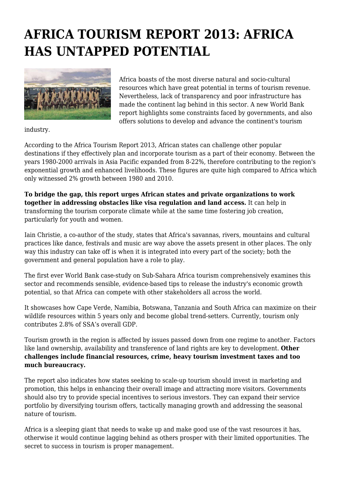## **AFRICA TOURISM REPORT 2013: AFRICA HAS UNTAPPED POTENTIAL**



Africa boasts of the most diverse natural and socio-cultural resources which have great potential in terms of tourism revenue. Nevertheless, lack of transparency and poor infrastructure has made the continent lag behind in this sector. A new World Bank report highlights some constraints faced by governments, and also offers solutions to develop and advance the continent's tourism

industry.

According to the Africa Tourism Report 2013, African states can challenge other popular destinations if they effectively plan and incorporate tourism as a part of their economy. Between the years 1980-2000 arrivals in Asia Pacific expanded from 8-22%, therefore contributing to the region's exponential growth and enhanced livelihoods. These figures are quite high compared to Africa which only witnessed 2% growth between 1980 and 2010.

**To bridge the gap, this report urges African states and private organizations to work together in addressing obstacles like visa regulation and land access.** It can help in transforming the tourism corporate climate while at the same time fostering job creation, particularly for youth and women.

Iain Christie, a co-author of the study, states that Africa's savannas, rivers, mountains and cultural practices like dance, festivals and music are way above the assets present in other places. The only way this industry can take off is when it is integrated into every part of the society; both the government and general population have a role to play.

The first ever World Bank case-study on Sub-Sahara Africa tourism comprehensively examines this sector and recommends sensible, evidence-based tips to release the industry's economic growth potential, so that Africa can compete with other stakeholders all across the world.

It showcases how Cape Verde, Namibia, Botswana, Tanzania and South Africa can maximize on their wildlife resources within 5 years only and become global trend-setters. Currently, tourism only contributes 2.8% of SSA's overall GDP.

Tourism growth in the region is affected by issues passed down from one regime to another. Factors like land ownership, availability and transference of land rights are key to development. **Other challenges include financial resources, crime, heavy tourism investment taxes and too much bureaucracy.**

The report also indicates how states seeking to scale-up tourism should invest in marketing and promotion, this helps in enhancing their overall image and attracting more visitors. Governments should also try to provide special incentives to serious investors. They can expand their service portfolio by diversifying tourism offers, tactically managing growth and addressing the seasonal nature of tourism.

Africa is a sleeping giant that needs to wake up and make good use of the vast resources it has, otherwise it would continue lagging behind as others prosper with their limited opportunities. The secret to success in tourism is proper management.